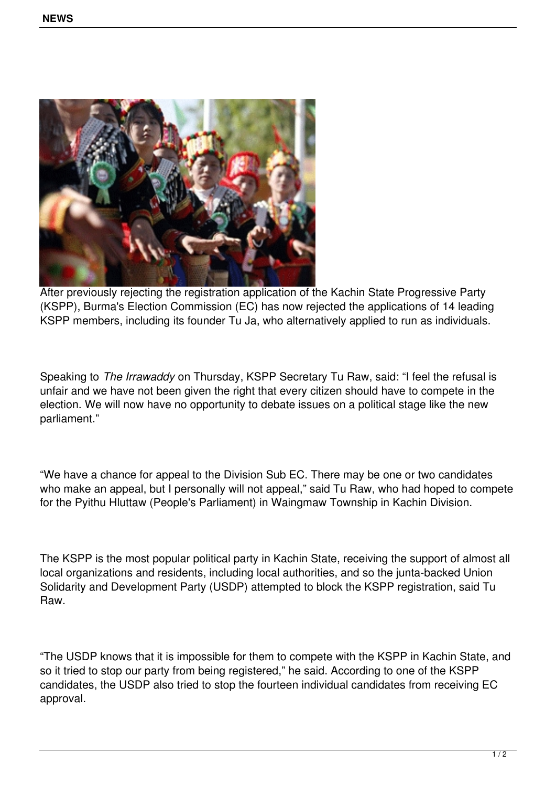

After previously rejecting the registration application of the Kachin State Progressive Party (KSPP), Burma's Election Commission (EC) has now rejected the applications of 14 leading KSPP members, including its founder Tu Ja, who alternatively applied to run as individuals.

Speaking to *The Irrawaddy* on Thursday, KSPP Secretary Tu Raw, said: "I feel the refusal is unfair and we have not been given the right that every citizen should have to compete in the election. We will now have no opportunity to debate issues on a political stage like the new parliament."

"We have a chance for appeal to the Division Sub EC. There may be one or two candidates who make an appeal, but I personally will not appeal," said Tu Raw, who had hoped to compete for the Pyithu Hluttaw (People's Parliament) in Waingmaw Township in Kachin Division.

The KSPP is the most popular political party in Kachin State, receiving the support of almost all local organizations and residents, including local authorities, and so the junta-backed Union Solidarity and Development Party (USDP) attempted to block the KSPP registration, said Tu Raw.

"The USDP knows that it is impossible for them to compete with the KSPP in Kachin State, and so it tried to stop our party from being registered," he said. According to one of the KSPP candidates, the USDP also tried to stop the fourteen individual candidates from receiving EC approval.